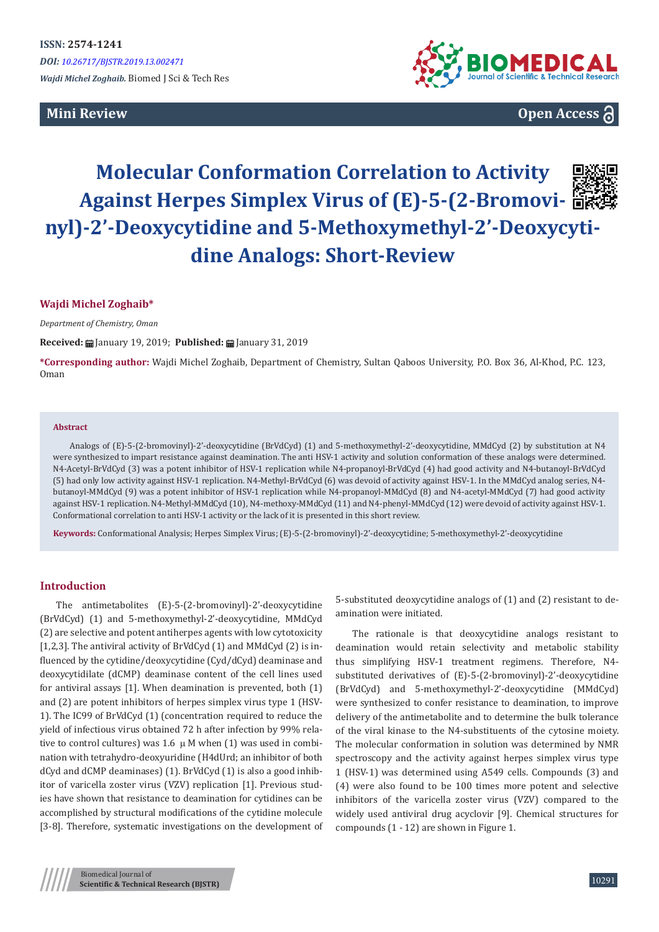## **Mini Review**



**Open Access**

# **Molecular Conformation Correlation to Activity Against Herpes Simplex Virus of (E)-5-(2-Bromovinyl)-2'-Deoxycytidine and 5-Methoxymethyl-2'-Deoxycytidine Analogs: Short-Review**

#### **Wajdi Michel Zoghaib\***

*Department of Chemistry, Oman*

**Received:** January 19, 2019; **Published:** January 31, 2019

**\*Corresponding author:** Wajdi Michel Zoghaib, Department of Chemistry, Sultan Qaboos University, P.O. Box 36, Al-Khod, P.C. 123, Oman

#### **Abstract**

Analogs of (E)-5-(2-bromovinyl)-2'-deoxycytidine (BrVdCyd) (1) and 5-methoxymethyl-2'-deoxycytidine, MMdCyd (2) by substitution at N4 were synthesized to impart resistance against deamination. The anti HSV-1 activity and solution conformation of these analogs were determined. N4-Acetyl-BrVdCyd (3) was a potent inhibitor of HSV-1 replication while N4-propanoyl-BrVdCyd (4) had good activity and N4-butanoyl-BrVdCyd (5) had only low activity against HSV-1 replication. N4-Methyl-BrVdCyd (6) was devoid of activity against HSV-1. In the MMdCyd analog series, N4 butanoyl-MMdCyd (9) was a potent inhibitor of HSV-1 replication while N4-propanoyl-MMdCyd (8) and N4-acetyl-MMdCyd (7) had good activity against HSV-1 replication. N4-Methyl-MMdCyd (10), N4-methoxy-MMdCyd (11) and N4-phenyl-MMdCyd (12) were devoid of activity against HSV-1. Conformational correlation to anti HSV-1 activity or the lack of it is presented in this short review.

**Keywords:** Conformational Analysis; Herpes Simplex Virus; (E)-5-(2-bromovinyl)-2'-deoxycytidine; 5-methoxymethyl-2'-deoxycytidine

#### **Introduction**

The antimetabolites (E)-5-(2-bromovinyl)-2'-deoxycytidine (BrVdCyd) (1) and 5-methoxymethyl-2'-deoxycytidine, MMdCyd (2) are selective and potent antiherpes agents with low cytotoxicity [1,2,3]. The antiviral activity of BrVdCyd (1) and MMdCyd (2) is influenced by the cytidine/deoxycytidine (Cyd/dCyd) deaminase and deoxycytidilate (dCMP) deaminase content of the cell lines used for antiviral assays [1]. When deamination is prevented, both (1) and (2) are potent inhibitors of herpes simplex virus type 1 (HSV-1). The IC99 of BrVdCyd (1) (concentration required to reduce the yield of infectious virus obtained 72 h after infection by 99% relative to control cultures) was 1.6  $\mu$  M when (1) was used in combination with tetrahydro-deoxyuridine (H4dUrd; an inhibitor of both dCyd and dCMP deaminases) (1). BrVdCyd (1) is also a good inhibitor of varicella zoster virus (VZV) replication [1]. Previous studies have shown that resistance to deamination for cytidines can be accomplished by structural modifications of the cytidine molecule [3-8]. Therefore, systematic investigations on the development of 5-substituted deoxycytidine analogs of (1) and (2) resistant to deamination were initiated.

The rationale is that deoxycytidine analogs resistant to deamination would retain selectivity and metabolic stability thus simplifying HSV-1 treatment regimens. Therefore, N4 substituted derivatives of (E)-5-(2-bromovinyl)-2'-deoxycytidine (BrVdCyd) and 5-methoxymethyl-2'-deoxycytidine (MMdCyd) were synthesized to confer resistance to deamination, to improve delivery of the antimetabolite and to determine the bulk tolerance of the viral kinase to the N4-substituents of the cytosine moiety. The molecular conformation in solution was determined by NMR spectroscopy and the activity against herpes simplex virus type 1 (HSV-1) was determined using A549 cells. Compounds (3) and (4) were also found to be 100 times more potent and selective inhibitors of the varicella zoster virus (VZV) compared to the widely used antiviral drug acyclovir [9]. Chemical structures for compounds (1 - 12) are shown in Figure 1.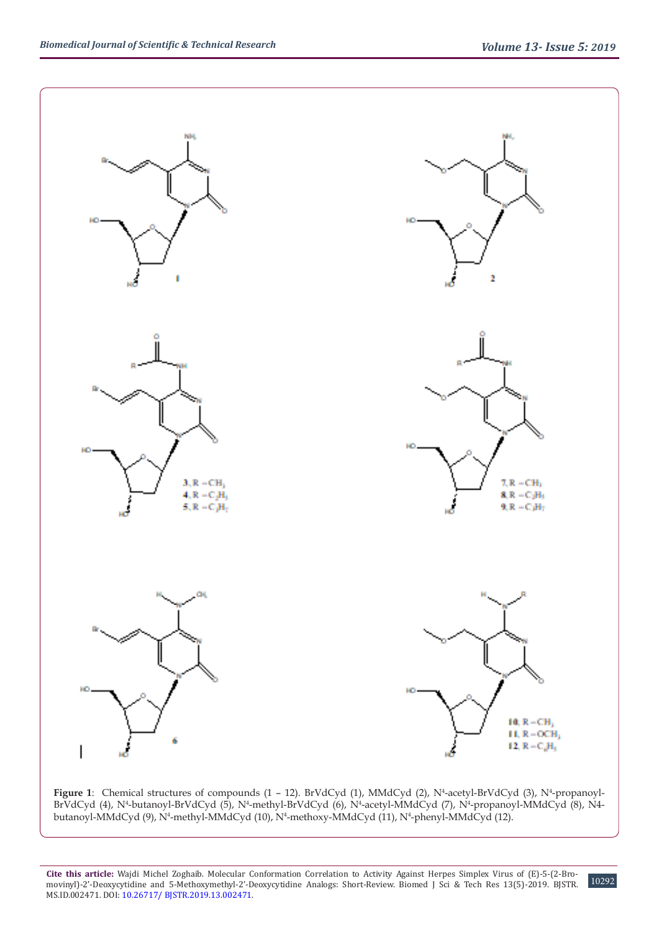



**Cite this article:** Wajdi Michel Zoghaib. Molecular Conformation Correlation to Activity Against Herpes Simplex Virus of (E)-5-(2-Bromovinyl)-2'-Deoxycytidine and 5-Methoxymethyl-2'-Deoxycytidine Analogs: Short-Review. Biomed J Sci & Tech Res 13(5)-2019. BJSTR. MS.ID.002471. DOI: [10.26717/ BJSTR.2019.13.0024](http://dx.doi.org/10.26717/BJSTR.2019.13.002471)71.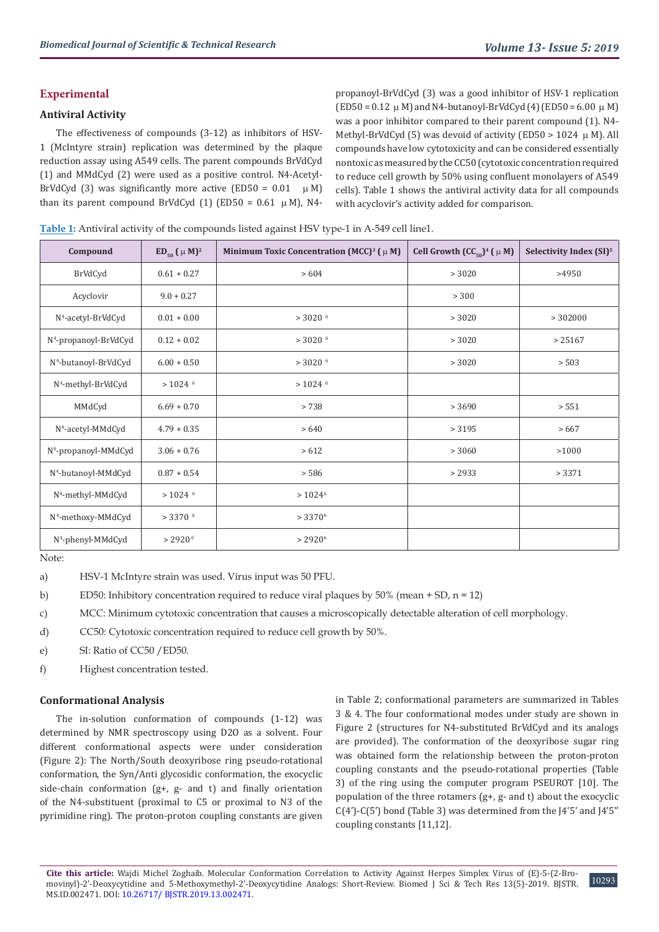## **Experimental**

## **Antiviral Activity**

The effectiveness of compounds (3-12) as inhibitors of HSV-1 (McIntyre strain) replication was determined by the plaque reduction assay using A549 cells. The parent compounds BrVdCyd (1) and MMdCyd (2) were used as a positive control. N4-Acetyl-BrVdCyd (3) was significantly more active (ED50 =  $0.01 \mu M$ ) than its parent compound BrVdCyd  $(1)$  (ED50 = 0.61  $\mu$  M), N4propanoyl-BrVdCyd (3) was a good inhibitor of HSV-1 replication  $(ED50 = 0.12 \mu M)$  and N4-butanoyl-BrVdCyd (4)  $(ED50 = 6.00 \mu M)$ was a poor inhibitor compared to their parent compound (1). N4- Methyl-BrVdCyd (5) was devoid of activity (ED50 > 1024  $\,\mu$  M). All compounds have low cytotoxicity and can be considered essentially nontoxic as measured by the CC50 (cytotoxic concentration required to reduce cell growth by 50% using confluent monolayers of A549 cells). Table 1 shows the antiviral activity data for all compounds with acyclovir's activity added for comparison.

|  | Table 1: Antiviral activity of the compounds listed against HSV type-1 in A-549 cell line1. |  |  |  |  |
|--|---------------------------------------------------------------------------------------------|--|--|--|--|
|--|---------------------------------------------------------------------------------------------|--|--|--|--|

| Compound                          | $ED_{50}$ ( $\mu$ M) <sup>2</sup> | Minimum Toxic Concentration (MCC) <sup>3</sup> ( $\mu$ M) | Cell Growth $(CC_{50})^4$ ( $\mu$ M) | Selectivity Index (SI) <sup>5</sup> |
|-----------------------------------|-----------------------------------|-----------------------------------------------------------|--------------------------------------|-------------------------------------|
| BrVdCyd                           | $0.61 + 0.27$                     | >604                                                      | > 3020                               | >4950                               |
| Acyclovir                         | $9.0 + 0.27$                      |                                                           | > 300                                |                                     |
| N <sup>4</sup> -acetyl-BrVdCyd    | $0.01 + 0.00$                     | $>$ 3020 $^6$                                             | > 3020                               | >302000                             |
| N <sup>4</sup> -propanoyl-BrVdCyd | $0.12 + 0.02$                     | $>$ 3020 $^6$                                             | > 3020                               | > 25167                             |
| N <sup>4</sup> -butanoyl-BrVdCyd  | $6.00 + 0.50$                     | $>$ 3020 $^6$                                             | > 3020                               | > 503                               |
| N <sup>4</sup> -methyl-BrVdCyd    | $>$ 1024 $6$                      | $>$ 1024 $6$                                              |                                      |                                     |
| MMdCyd                            | $6.69 + 0.70$                     | > 738                                                     | > 3690                               | > 551                               |
| N <sup>4</sup> -acetyl-MMdCyd     | $4.79 + 0.35$                     | >640                                                      | > 3195                               | >667                                |
| N <sup>4</sup> -propanoyl-MMdCyd  | $3.06 + 0.76$                     | > 612                                                     | > 3060                               | >1000                               |
| N <sup>4</sup> -butanoyl-MMdCyd   | $0.87 + 0.54$                     | > 586                                                     | > 2933                               | > 3371                              |
| N <sup>4</sup> -methyl-MMdCyd     | $>$ 1024 $6$                      | $> 1024^6$                                                |                                      |                                     |
| N <sup>4</sup> -methoxy-MMdCyd    | $>$ 3370 $^6$                     | $> 3370^6$                                                |                                      |                                     |
| N <sup>4</sup> -phenyl-MMdCyd     | $> 2920^{\circ}$                  | $> 2920^6$                                                |                                      |                                     |

Note:

a) HSV-1 McIntyre strain was used. Virus input was 50 PFU.

b) ED50: Inhibitory concentration required to reduce viral plaques by  $50\%$  (mean + SD, n = 12)

c) MCC: Minimum cytotoxic concentration that causes a microscopically detectable alteration of cell morphology.

- d) CC50: Cytotoxic concentration required to reduce cell growth by 50%.
- e) SI: Ratio of CC50 /ED50.
- f) Highest concentration tested.

#### **Conformational Analysis**

The in-solution conformation of compounds (1-12) was determined by NMR spectroscopy using D2O as a solvent. Four different conformational aspects were under consideration (Figure 2): The North/South deoxyribose ring pseudo-rotational conformation, the Syn/Anti glycosidic conformation, the exocyclic side-chain conformation (g+, g- and t) and finally orientation of the N4-substituent (proximal to C5 or proximal to N3 of the pyrimidine ring). The proton-proton coupling constants are given

in Table 2; conformational parameters are summarized in Tables 3 & 4. The four conformational modes under study are shown in Figure 2 (structures for N4-substituted BrVdCyd and its analogs are provided). The conformation of the deoxyribose sugar ring was obtained form the relationship between the proton-proton coupling constants and the pseudo-rotational properties (Table 3) of the ring using the computer program PSEUROT [10]. The population of the three rotamers  $(g+, g-$  and t) about the exocyclic C(4')-C(5') bond (Table 3) was determined from the J4'5' and J4'5'' coupling constants [11,12].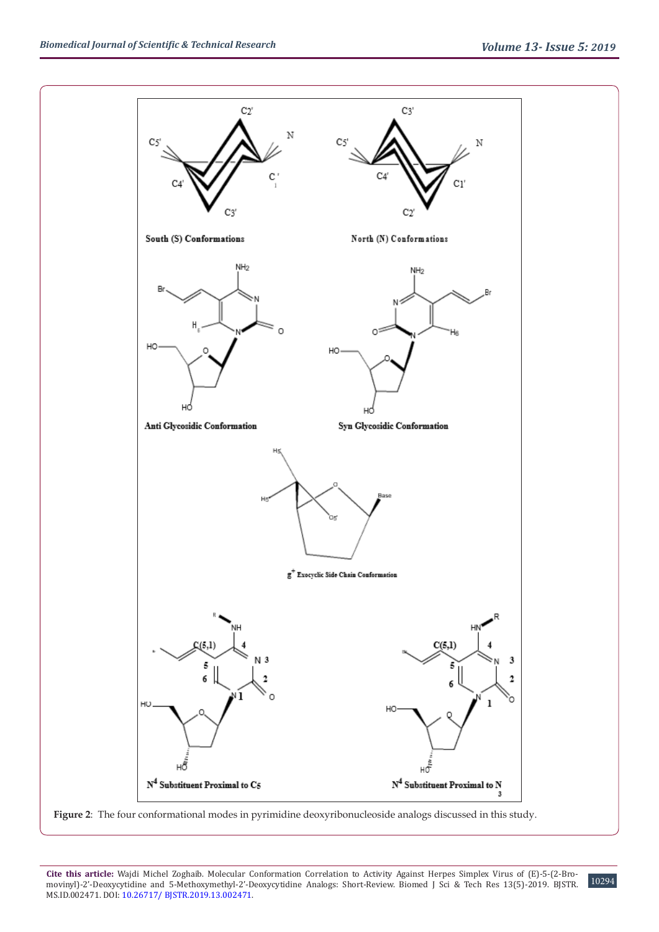

**Figure 2**: The four conformational modes in pyrimidine deoxyribonucleoside analogs discussed in this study.

**Cite this article:** Wajdi Michel Zoghaib. Molecular Conformation Correlation to Activity Against Herpes Simplex Virus of (E)-5-(2-Bromovinyl)-2'-Deoxycytidine and 5-Methoxymethyl-2'-Deoxycytidine Analogs: Short-Review. Biomed J Sci & Tech Res 13(5)-2019. BJSTR. MS.ID.002471. DOI: [10.26717/ BJSTR.2019.13.0024](http://dx.doi.org/10.26717/BJSTR.2019.13.002471)71.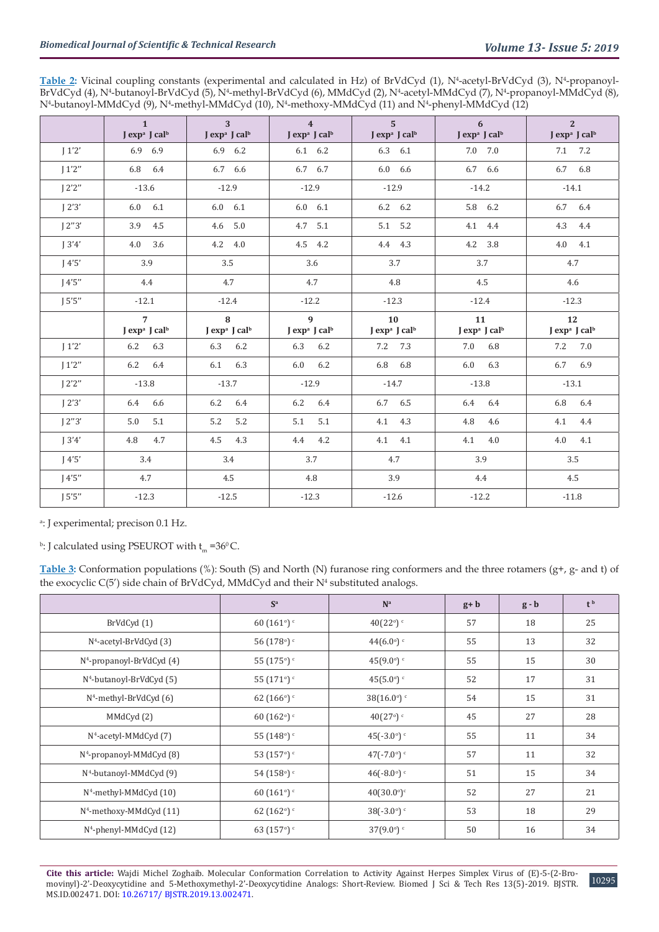Table 2: Vicinal coupling constants (experimental and calculated in Hz) of BrVdCyd (1), N<sup>4</sup>-acetyl-BrVdCyd (3), N<sup>4</sup>-propanoyl-BrVdCyd (4), N<sup>4</sup>-butanoyl-BrVdCyd (5), N<sup>4</sup>-methyl-BrVdCyd (6), MMdCyd (2), N<sup>4</sup>-acetyl-MMdCyd (7), N<sup>4</sup>-propanoyl-MMdCyd (8), N<sup>4</sup>-butanoyl-MMdCyd (9), N<sup>4</sup>-methyl-MMdCyd (10), N<sup>4</sup>-methoxy-MMdCyd (11) and N<sup>4</sup>-phenyl-MMdCyd (12)

|        | $\mathbf{1}$<br>J exp <sup>a</sup> J cal <sup>b</sup> | 3 <sup>1</sup><br>$J \exp^a J \text{ cal}^b$ | $\overline{4}$<br>$J \exp^a J \text{ cal}^b$ | $5^{\circ}$<br>J exp <sup>a</sup> J cal <sup>b</sup> | 6<br>J exp <sup>a</sup> J cal <sup>b</sup>  | <sup>2</sup><br>J exp <sup>a</sup> J cal <sup>b</sup> |
|--------|-------------------------------------------------------|----------------------------------------------|----------------------------------------------|------------------------------------------------------|---------------------------------------------|-------------------------------------------------------|
| 1'2'   | 6.9 6.9                                               | 6.9 6.2                                      | 6.1 6.2                                      | 6.3 6.1                                              | 7.0 7.0                                     | 7.1 7.2                                               |
|        |                                                       |                                              |                                              |                                                      |                                             |                                                       |
| 1'2''  | 6.8 6.4                                               | 6.7 6.6                                      | 6.7 6.7                                      | $6.0\quad 6.6$                                       | 6.7 6.6                                     | 6.7 6.8                                               |
| 12'2'' | $-13.6$                                               | $-12.9$                                      | $-12.9$                                      | $-12.9$                                              | $-14.2$                                     | $-14.1$                                               |
| J 2'3' | $6.0\quad 6.1$                                        | $6.0\quad 6.1$                               | $6.0\quad 6.1$                               | 6.2 6.2                                              | 5.8 6.2                                     | 6.7 6.4                                               |
| J2''3' | 3.9 4.5                                               | 4.6 5.0                                      | 4.7 5.1                                      | 5.1 5.2                                              | 4.1 4.4                                     | 4.3 4.4                                               |
| 13'4'  | $4.0$ 3.6                                             | 4.2 4.0                                      | 4.5 4.2                                      | 4.4 4.3                                              | 4.2 3.8                                     | $4.0$ $4.1$                                           |
| 14'5'  | 3.9                                                   | 3.5                                          | 3.6                                          | 3.7                                                  | 3.7                                         | 4.7                                                   |
| 14'5'' | 4.4                                                   | 4.7                                          | 4.7                                          | 4.8                                                  | 4.5                                         | 4.6                                                   |
| J5'5'' | $-12.1$                                               | $-12.4$                                      | $-12.2$                                      | $-12.3$                                              | $-12.4$                                     | $-12.3$                                               |
|        | $7^{\circ}$<br>J exp <sup>a</sup> J cal <sup>b</sup>  | 8<br>J exp <sup>a</sup> J cal <sup>b</sup>   | 9<br>$J \exp^a J \text{ cal}^b$              | 10<br>$J \exp^a J \text{ cal}^b$                     | 11<br>J exp <sup>a</sup> J cal <sup>b</sup> | 12<br>J exp <sup>a</sup> J cal <sup>b</sup>           |
| J1'2'  | 6.2 6.3                                               | 6.3 6.2                                      | 6.3 6.2                                      | 7.2 7.3                                              | 7.0 6.8                                     | 7.2 7.0                                               |
| J1'2'' | 6.2 6.4                                               | 6.1 6.3                                      | $6.0\qquad 6.2$                              | 6.8 6.8                                              | $6.0\qquad 6.3$                             | 6.7 6.9                                               |
| 12'2'' | $-13.8$                                               | $-13.7$                                      | $-12.9$                                      | $-14.7$                                              | $-13.8$                                     | $-13.1$                                               |
| J2'3'  | 6.4 6.6                                               | 6.2 6.4                                      | 6.2 6.4                                      | 6.7 6.5                                              | 6.4 6.4                                     | 6.8 6.4                                               |
| J2''3' | 5.0<br>5.1                                            | 5.2<br>5.2                                   | $5.1$ $5.1$                                  | 4.1 4.3                                              | 4.8 4.6                                     | 4.1 4.4                                               |
| 13'4'  | 4.8<br>4.7                                            | 4.5 4.3                                      | 4.4 4.2                                      | 4.1 4.1                                              | 4.1 4.0                                     | 4.0 4.1                                               |
| 14'5'  | 3.4                                                   | 3.4                                          | 3.7                                          | 4.7                                                  | 3.9                                         | 3.5                                                   |
| 14'5'' | 4.7                                                   | 4.5                                          | 4.8                                          | 3.9                                                  | 4.4                                         | 4.5                                                   |
| 15'5'' | $-12.3$                                               | $-12.5$                                      | $-12.3$                                      | $-12.6$                                              | $-12.2$                                     | $-11.8$                                               |

Ī a : J experimental; precison 0.1 Hz.

<sup>b</sup>: J calculated using PSEUROT with  $t_m = 36^{\circ}$  C.

**Table 3:** Conformation populations (%): South (S) and North (N) furanose ring conformers and the three rotamers (g+, g- and t) of the exocyclic  $C(5')$  side chain of BrVdCyd, MMdCyd and their  $N<sup>4</sup>$  substituted analogs.

|                                       | $S^a$                           | N <sup>a</sup>             | $g + b$ | $g - b$ | t <sup>b</sup> |
|---------------------------------------|---------------------------------|----------------------------|---------|---------|----------------|
| BrVdCyd (1)                           | 60(161°)                        | 40(22°)                    | 57      | 18      | 25             |
| N <sup>4</sup> -acetyl-BrVdCyd (3)    | $56(178)$ <sup>c</sup>          | $44(6.0^{\circ})$ c        | 55      | 13      | 32             |
| N <sup>4</sup> -propanoyl-BrVdCyd (4) | 55 $(175)$ $\degree$            | $45(9.0^{\circ})$          | 55      | 15      | 30             |
| N <sup>4</sup> -butanoyl-BrVdCyd (5)  | 55 $(171°)$                     | $45(5.0^{\circ})$ c        | 52      | 17      | 31             |
| N <sup>4</sup> -methyl-BrVdCyd (6)    | 62(166)                         | $38(16.0^{\circ})$ c       | 54      | 15      | 31             |
| MMdCyd (2)                            | 60(162°)                        | $40(27)$ <sup>c</sup>      | 45      | 27      | 28             |
| $N4$ -acetyl-MMdCyd (7)               | 55 $(148°)$                     | $45(-3.0)$                 | 55      | 11      | 34             |
| N <sup>4</sup> -propanoyl-MMdCyd (8)  | 53 $(157)$ <sup>c</sup>         | $47(-7.0)$                 | 57      | 11      | 32             |
| N <sup>4</sup> -butanoyl-MMdCyd (9)   | $54(158)$ <sup>c</sup>          | $46(-8.0)$ c               | 51      | 15      | 34             |
| $N4$ -methyl-MMdCyd (10)              | 60(161)                         | $40(30.0^{\circ})^{\circ}$ | 52      | 27      | 21             |
| N <sup>4</sup> -methoxy-MMdCyd (11)   | 62(162°)                        | $38(-3.0)$ <sup>c</sup>    | 53      | 18      | 29             |
| N <sup>4</sup> -phenyl-MMdCyd (12)    | 63 (157 $^{\circ}$ ) $^{\circ}$ | $37(9.0^{\circ})$ c        | 50      | 16      | 34             |

**Cite this article:** Wajdi Michel Zoghaib. Molecular Conformation Correlation to Activity Against Herpes Simplex Virus of (E)-5-(2-Bromovinyl)-2'-Deoxycytidine and 5-Methoxymethyl-2'-Deoxycytidine Analogs: Short-Review. Biomed J Sci & Tech Res 13(5)-2019. BJSTR. MS.ID.002471. DOI: [10.26717/ BJSTR.2019.13.0024](http://dx.doi.org/10.26717/BJSTR.2019.13.002471)71.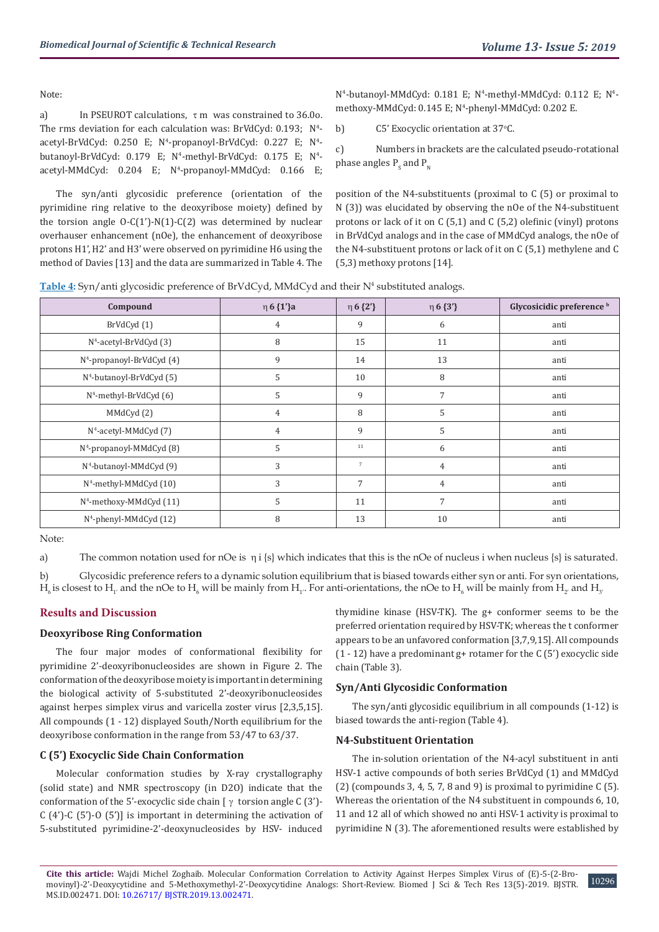Note:

a) In PSEUROT calculations,  $\tau$  m was constrained to 36.0o. The rms deviation for each calculation was:  $BrVdCyd: 0.193; N<sup>4</sup>$ acetyl-BrVdCyd: 0.250 E; N<sup>4</sup>-propanoyl-BrVdCyd: 0.227 E; N<sup>4</sup>butanoyl-BrVdCyd: 0.179 E; N<sup>4</sup>-methyl-BrVdCyd: 0.175 E; N<sup>4</sup>acetyl-MMdCyd: 0.204 E; N<sup>4</sup>-propanoyl-MMdCyd: 0.166 E;

The syn/anti glycosidic preference (orientation of the pyrimidine ring relative to the deoxyribose moiety) defined by the torsion angle  $O-C(1')-N(1)-C(2)$  was determined by nuclear overhauser enhancement (nOe), the enhancement of deoxyribose protons H1', H2' and H3' were observed on pyrimidine H6 using the method of Davies [13] and the data are summarized in Table 4. The

N<sup>4</sup>-butanoyl-MMdCyd: 0.181 E; N<sup>4</sup>-methyl-MMdCyd: 0.112 E; N<sup>4</sup>methoxy-MMdCyd: 0.145 E; N<sup>4</sup>-phenyl-MMdCyd: 0.202 E.

b) C5' Exocyclic orientation at 37°C.

c) Numbers in brackets are the calculated pseudo-rotational phase angles  $P_{\rm s}$  and  $P_{\rm N}$ 

position of the N4-substituents (proximal to C (5) or proximal to N (3)) was elucidated by observing the nOe of the N4-substituent protons or lack of it on C (5,1) and C (5,2) olefinic (vinyl) protons in BrVdCyd analogs and in the case of MMdCyd analogs, the nOe of the N4-substituent protons or lack of it on C (5,1) methylene and C (5,3) methoxy protons [14].

Table 4: Syn/anti glycosidic preference of BrVdCyd, MMdCyd and their N<sup>4</sup> substituted analogs.

| Compound                             | $η 6 {1'}3$    | $\eta 6\{2'\}$ | $η 6 {3'}$     | Glycosicidic preference b |
|--------------------------------------|----------------|----------------|----------------|---------------------------|
| BrVdCyd (1)                          | $\overline{4}$ | 9              | 6              | anti                      |
| N <sup>4</sup> -acetyl-BrVdCyd (3)   | 8              | 15             | 11             | anti                      |
| $N^4$ -propanoyl-BrVdCyd (4)         | 9              | 14             | 13             | anti                      |
| N <sup>4</sup> -butanoyl-BrVdCyd (5) | 5              | 10             | 8              | anti                      |
| N <sup>4</sup> -methyl-BrVdCyd (6)   | 5              | 9              | 7              | anti                      |
| MMdCyd (2)                           | $\overline{4}$ | 8              | 5              | anti                      |
| N <sup>4</sup> -acetyl-MMdCyd (7)    | $\overline{4}$ | 9              | 5              | anti                      |
| $N4$ -propanoyl-MMdCyd (8)           | 5              | 11             | 6              | anti                      |
| N <sup>4</sup> -butanoyl-MMdCyd (9)  | 3              | $\overline{7}$ | 4              | anti                      |
| $N^4$ -methyl-MMdCyd $(10)$          | 3              | 7              | $\overline{4}$ | anti                      |
| N <sup>4</sup> -methoxy-MMdCyd (11)  | 5              | 11             | 7              | anti                      |
| N <sup>4</sup> -phenyl-MMdCyd (12)   | 8              | 13             | 10             | anti                      |

Note:

a) The common notation used for nOe is  $\eta i \{s\}$  which indicates that this is the nOe of nucleus i when nucleus  $\{s\}$  is saturated.

b) Glycosidic preference refers to a dynamic solution equilibrium that is biased towards either syn or anti. For syn orientations,  $H_{\epsilon}$  is closest to  $H_{_1'}$  and the nOe to  $H_{_6}$  will be mainly from  $H_{_1'}$ . For anti-orientations, the nOe to  $H_{_6}$  will be mainly from  $H_{_2'}$  and  $H_{_3'}$ 

## **Results and Discussion**

## **Deoxyribose Ring Conformation**

The four major modes of conformational flexibility for pyrimidine 2'-deoxyribonucleosides are shown in Figure 2. The conformation of the deoxyribose moiety is important in determining the biological activity of 5-substituted 2'-deoxyribonucleosides against herpes simplex virus and varicella zoster virus [2,3,5,15]. All compounds (1 - 12) displayed South/North equilibrium for the deoxyribose conformation in the range from 53/47 to 63/37.

## **C (5') Exocyclic Side Chain Conformation**

Molecular conformation studies by X-ray crystallography (solid state) and NMR spectroscopy (in D2O) indicate that the conformation of the 5'-exocyclic side chain  $[\gamma \text{ torsion angle C (3')}]$ -C (4')-C (5')-O (5')] is important in determining the activation of 5-substituted pyrimidine-2'-deoxynucleosides by HSV- induced

thymidine kinase (HSV-TK). The g+ conformer seems to be the preferred orientation required by HSV-TK; whereas the t conformer appears to be an unfavored conformation [3,7,9,15]. All compounds  $(1 - 12)$  have a predominant g+ rotamer for the C $(5')$  exocyclic side chain (Table 3).

## **Syn/Anti Glycosidic Conformation**

The syn/anti glycosidic equilibrium in all compounds (1-12) is biased towards the anti-region (Table 4).

## **N4-Substituent Orientation**

The in-solution orientation of the N4-acyl substituent in anti HSV-1 active compounds of both series BrVdCyd (1) and MMdCyd (2) (compounds 3, 4, 5, 7, 8 and 9) is proximal to pyrimidine  $C(5)$ . Whereas the orientation of the N4 substituent in compounds 6, 10, 11 and 12 all of which showed no anti HSV-1 activity is proximal to pyrimidine N (3). The aforementioned results were established by